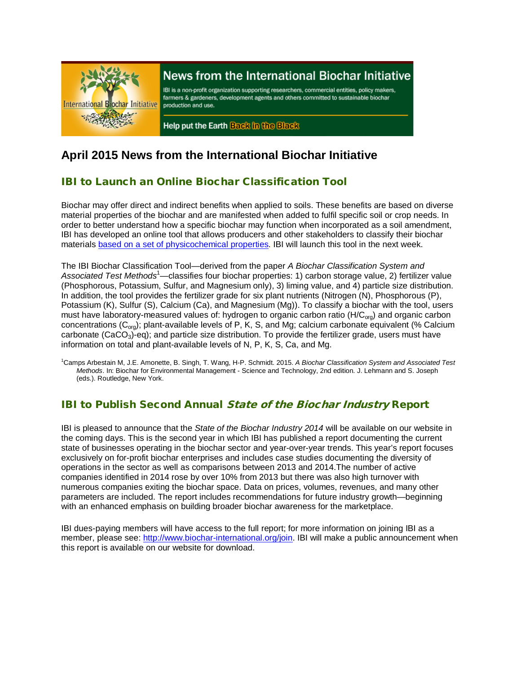

# News from the International Biochar Initiative

IBI is a non-profit organization supporting researchers, commercial entities, policy makers, farmers & gardeners, development agents and others committed to sustainable biochar production and use.

Help put the Earth Back in the Black

# **April 2015 News from the International Biochar Initiative**

## IBI to Launch an Online Biochar Classification Tool

Biochar may offer direct and indirect benefits when applied to soils. These benefits are based on diverse material properties of the biochar and are manifested when added to fulfil specific soil or crop needs. In order to better understand how a specific biochar may function when incorporated as a soil amendment, IBI has developed an online tool that allows producers and other stakeholders to classify their biochar materials based [on a set of physicochemical properties.](http://www.biochar-international.org/characterizationstandard) IBI will launch this tool in the next week.

The IBI Biochar Classification Tool—derived from the paper *A Biochar Classification System and*  Associated Test Methods<sup>1</sup>—classifies four biochar properties: 1) carbon storage value, 2) fertilizer value (Phosphorous, Potassium, Sulfur, and Magnesium only), 3) liming value, and 4) particle size distribution. In addition, the tool provides the fertilizer grade for six plant nutrients (Nitrogen (N), Phosphorous (P), Potassium (K), Sulfur (S), Calcium (Ca), and Magnesium (Mg)). To classify a biochar with the tool, users must have laboratory-measured values of: hydrogen to organic carbon ratio (H/C<sub>org</sub>) and organic carbon concentrations  $(C_{\text{ora}})$ ; plant-available levels of P, K, S, and Mg; calcium carbonate equivalent (% Calcium carbonate  $(CaCO<sub>3</sub>)$ -eq); and particle size distribution. To provide the fertilizer grade, users must have information on total and plant-available levels of N, P, K, S, Ca, and Mg.

1 Camps Arbestain M, J.E. Amonette, B. Singh, T. Wang, H-P. Schmidt. 2015. *A Biochar Classification System and Associated Test Methods*. In: Biochar for Environmental Management - Science and Technology, 2nd edition. J. Lehmann and S. Joseph (eds.). Routledge, New York.

### IBI to Publish Second Annual State of the Biochar Industry Report

IBI is pleased to announce that the *State of the Biochar Industry 2014* will be available on our website in the coming days. This is the second year in which IBI has published a report documenting the current state of businesses operating in the biochar sector and year-over-year trends. This year's report focuses exclusively on for-profit biochar enterprises and includes case studies documenting the diversity of operations in the sector as well as comparisons between 2013 and 2014.The number of active companies identified in 2014 rose by over 10% from 2013 but there was also high turnover with numerous companies exiting the biochar space. Data on prices, volumes, revenues, and many other parameters are included. The report includes recommendations for future industry growth—beginning with an enhanced emphasis on building broader biochar awareness for the marketplace.

IBI dues-paying members will have access to the full report; for more information on joining IBI as a member, please see: [http://www.biochar-international.org/join.](http://www.biochar-international.org/join) IBI will make a public announcement when this report is available on our website for download.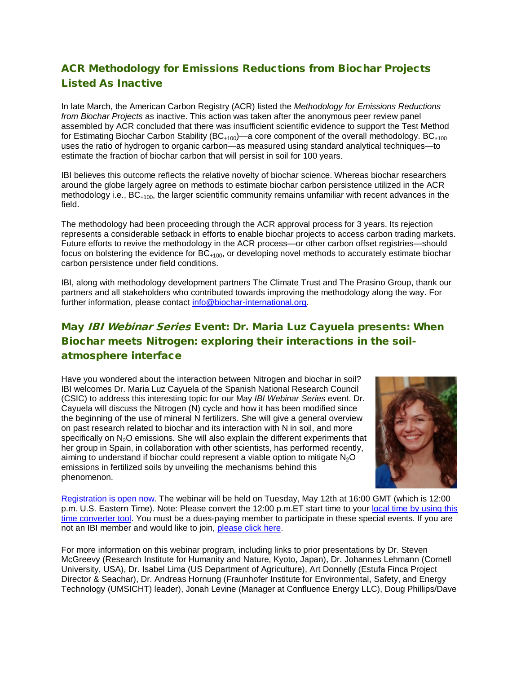# ACR Methodology for Emissions Reductions from Biochar Projects Listed As Inactive

In late March, the American Carbon Registry (ACR) listed the *Methodology for Emissions Reductions from Biochar Projects* as inactive. This action was taken after the anonymous peer review panel assembled by ACR concluded that there was insufficient scientific evidence to support the Test Method for Estimating Biochar Carbon Stability (BC<sub>+100</sub>)—a core component of the overall methodology. BC<sub>+100</sub> uses the ratio of hydrogen to organic carbon—as measured using standard analytical techniques—to estimate the fraction of biochar carbon that will persist in soil for 100 years.

IBI believes this outcome reflects the relative novelty of biochar science. Whereas biochar researchers around the globe largely agree on methods to estimate biochar carbon persistence utilized in the ACR methodology i.e.,  $BC_{+100}$ , the larger scientific community remains unfamiliar with recent advances in the field.

The methodology had been proceeding through the ACR approval process for 3 years. Its rejection represents a considerable setback in efforts to enable biochar projects to access carbon trading markets. Future efforts to revive the methodology in the ACR process—or other carbon offset registries—should focus on bolstering the evidence for  $BC_{+100}$ , or developing novel methods to accurately estimate biochar carbon persistence under field conditions.

IBI, along with methodology development partners The Climate Trust and The Prasino Group, thank our partners and all stakeholders who contributed towards improving the methodology along the way. For further information, please contact [info@biochar-international.org.](mailto:info@biochar-international.org)

## May IBI Webinar Series Event: Dr. Maria Luz Cayuela presents: When Biochar meets Nitrogen: exploring their interactions in the soilatmosphere interface

Have you wondered about the interaction between Nitrogen and biochar in soil? IBI welcomes Dr. Maria Luz Cayuela of the Spanish National Research Council (CSIC) to address this interesting topic for our May *IBI Webinar Series* event. Dr. Cayuela will discuss the Nitrogen (N) cycle and how it has been modified since the beginning of the use of mineral N fertilizers. She will give a general overview on past research related to biochar and its interaction with N in soil, and more specifically on  $N<sub>2</sub>O$  emissions. She will also explain the different experiments that her group in Spain, in collaboration with other scientists, has performed recently, aiming to understand if biochar could represent a viable option to mitigate  $N_2O$ emissions in fertilized soils by unveiling the mechanisms behind this phenomenon.



[Registration is open now.](https://attendee.gotowebinar.com/register/2249601156570113026) The webinar will be held on Tuesday, May 12th at 16:00 GMT (which is 12:00 p.m. U.S. Eastern Time). Note: Please convert the 12:00 p.m. ET start time to your local time by using this [time converter tool.](http://www.timeanddate.com/worldclock/converter.html) You must be a dues-paying member to participate in these special events. If you are not an IBI member and would like to join, [please click here.](http://www.biochar-international.org/join)

For more information on this webinar program, including links to prior presentations by Dr. Steven McGreevy (Research Institute for Humanity and Nature, Kyoto, Japan), Dr. Johannes Lehmann (Cornell University, USA), Dr. Isabel Lima (US Department of Agriculture), Art Donnelly (Estufa Finca Project Director & Seachar), Dr. Andreas Hornung (Fraunhofer Institute for Environmental, Safety, and Energy Technology (UMSICHT) leader), Jonah Levine (Manager at Confluence Energy LLC), Doug Phillips/Dave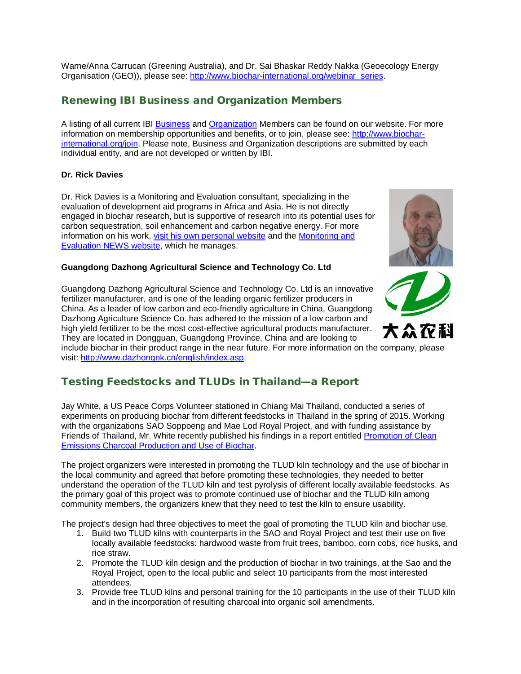Warne/Anna Carrucan (Greening Australia), and Dr. Sai Bhaskar Reddy Nakka (Geoecology Energy Organisation (GEO)), please see: [http://www.biochar-international.org/webinar\\_series.](http://ibi.memberclicks.net/message2/link/3b7fbc09-c4a7-4bda-994f-4e3b9cf57ba6/3)

## Renewing IBI Business and Organization Members

A listing of all current IBI [Business](http://ibi.memberclicks.net/message/urlRedir?id=61092&recip=2037fe9e-203a-4b7f-af3c-ac8774c71cbd) and [Organization](http://ibi.memberclicks.net/message/urlRedir?id=61093&recip=2037fe9e-203a-4b7f-af3c-ac8774c71cbd) Members can be found on our website. For more information on membership opportunities and benefits, or to join, please see: [http://www.biochar](http://ibi.memberclicks.net/message/urlRedir?id=61094&recip=2037fe9e-203a-4b7f-af3c-ac8774c71cbd)[international.org/join.](http://ibi.memberclicks.net/message/urlRedir?id=61094&recip=2037fe9e-203a-4b7f-af3c-ac8774c71cbd) Please note, Business and Organization descriptions are submitted by each individual entity, and are not developed or written by IBI.

#### **Dr. Rick Davies**

Dr. Rick Davies is a Monitoring and Evaluation consultant, specializing in the evaluation of development aid programs in Africa and Asia. He is not directly engaged in biochar research, but is supportive of research into its potential uses for carbon sequestration, soil enhancement and carbon negative energy. For more information on his work, [visit his own personal website](https://richardjdavies.wordpress.com/) and the [Monitoring and](http://mande.co.uk/)  [Evaluation NEWS website,](http://mande.co.uk/) which he manages.

#### **Guangdong Dazhong Agricultural Science and Technology Co. Ltd**

Guangdong Dazhong Agricultural Science and Technology Co. Ltd is an innovative fertilizer manufacturer, and is one of the leading organic fertilizer producers in China. As a leader of low carbon and eco-friendly agriculture in China, Guangdong Dazhong Agriculture Science Co. has adhered to the mission of a low carbon and high yield fertilizer to be the most cost-effective agricultural products manufacturer. They are located in Dongguan, Guangdong Province, China and are looking to

include biochar in their product range in the near future. For more information on the company, please visit: [http://www.dazhongnk.cn/english/index.asp.](http://www.dazhongnk.cn/english/index.asp)

### Testing Feedstocks and TLUDs in Thailand—a Report

Jay White, a US Peace Corps Volunteer stationed in Chiang Mai Thailand, conducted a series of experiments on producing biochar from different feedstocks in Thailand in the spring of 2015. Working with the organizations SAO Soppoeng and Mae Lod Royal Project, and with funding assistance by Friends of Thailand, Mr. White recently published his findings in a report entitle[d Promotion of Clean](http://www.biochar-international.org/sites/default/files/TLUD%26Biochar%20Report_Thailand_for_IBI.pdf)  [Emissions Charcoal Production and Use of Biochar.](http://www.biochar-international.org/sites/default/files/TLUD%26Biochar%20Report_Thailand_for_IBI.pdf)

The project organizers were interested in promoting the TLUD kiln technology and the use of biochar in the local community and agreed that before promoting these technologies, they needed to better understand the operation of the TLUD kiln and test pyrolysis of different locally available feedstocks. As the primary goal of this project was to promote continued use of biochar and the TLUD kiln among community members, the organizers knew that they need to test the kiln to ensure usability.

The project's design had three objectives to meet the goal of promoting the TLUD kiln and biochar use.

- 1. Build two TLUD kilns with counterparts in the SAO and Royal Project and test their use on five locally available feedstocks: hardwood waste from fruit trees, bamboo, corn cobs, rice husks, and rice straw.
- 2. Promote the TLUD kiln design and the production of biochar in two trainings, at the Sao and the Royal Project, open to the local public and select 10 participants from the most interested attendees.
- 3. Provide free TLUD kilns and personal training for the 10 participants in the use of their TLUD kiln and in the incorporation of resulting charcoal into organic soil amendments.



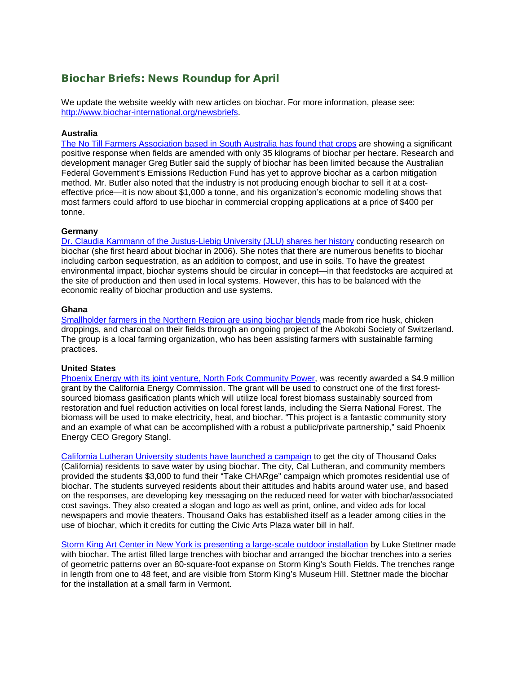#### Biochar Briefs: News Roundup for April

We update the website weekly with new articles on biochar. For more information, please see: [http://www.biochar-international.org/newsbriefs.](http://ibi.memberclicks.net/message/urlRedir?id=61106&recip=2037fe9e-203a-4b7f-af3c-ac8774c71cbd)

#### **Australia**

[The No Till Farmers Association based in South Australia has](http://www.abc.net.au/news/2015-04-17/tch-biochar-business/6399436) found that crops are showing a significant positive response when fields are amended with only 35 kilograms of biochar per hectare. Research and development manager Greg Butler said the supply of biochar has been limited because the Australian Federal Government's Emissions Reduction Fund has yet to approve biochar as a carbon mitigation method. Mr. Butler also noted that the industry is not producing enough biochar to sell it at a costeffective price—it is now about \$1,000 a tonne, and his organization's economic modeling shows that most farmers could afford to use biochar in commercial cropping applications at a price of \$400 per tonne.

#### **Germany**

[Dr. Claudia Kammann of the Justus-Liebig University \(JLU\) shares her history](http://www.oberhessische-zeitung.de/lokales/hochschule/dr-claudia-kammann-von-der-jlu-stellt-ihre-forschungsergebnisse-vor_15163150.htm) conducting research on biochar (she first heard about biochar in 2006). She notes that there are numerous benefits to biochar including carbon sequestration, as an addition to compost, and use in soils. To have the greatest environmental impact, biochar systems should be circular in concept—in that feedstocks are acquired at the site of production and then used in local systems. However, this has to be balanced with the economic reality of biochar production and use systems.

#### **Ghana**

[Smallholder farmers in the Northern Region are using biochar blends](http://www.ghanaweb.com/GhanaHomePage/regional/artikel.php?ID=354294) made from rice husk, chicken droppings, and charcoal on their fields through an ongoing project of the Abokobi Society of Switzerland. The group is a local farming organization, who has been assisting farmers with sustainable farming practices.

#### **United States**

Phoenix Energy [with its joint venture, North Fork Community Power,](http://biomassmagazine.com/articles/11782/california-biomass-gasification-project-awarded-cec-grant) was recently awarded a \$4.9 million grant by the California Energy Commission. The grant will be used to construct one of the first forestsourced biomass gasification plants which will utilize local forest biomass sustainably sourced from restoration and fuel reduction activities on local forest lands, including the Sierra National Forest. The biomass will be used to make electricity, heat, and biochar. "This project is a fantastic community story and an example of what can be accomplished with a robust a public/private partnership," said Phoenix Energy CEO Gregory Stangl.

[California Lutheran University students have launched a campaign](http://www.callutheran.edu/news/news_detail.php?story_id=11492) to get the city of Thousand Oaks (California) residents to save water by using biochar. The city, Cal Lutheran, and community members provided the students \$3,000 to fund their "Take CHARge" campaign which promotes residential use of biochar. The students surveyed residents about their attitudes and habits around water use, and based on the responses, are developing key messaging on the reduced need for water with biochar/associated cost savings. They also created a slogan and logo as well as print, online, and video ads for local newspapers and movie theaters. Thousand Oaks has established itself as a leader among cities in the use of biochar, which it credits for cutting the Civic Arts Plaza water bill in half.

Storm King Art [Center in New York is presenting a large-scale outdoor](http://www.artfixdaily.com/artwire/release/6573-storm-king-art-center-presents-large-scale-biochar-installation-b) installation by Luke Stettner made with biochar. The artist filled large trenches with biochar and arranged the biochar trenches into a series of geometric patterns over an 80-square-foot expanse on Storm King's South Fields. The trenches range in length from one to 48 feet, and are visible from Storm King's Museum Hill. Stettner made the biochar for the installation at a small farm in Vermont.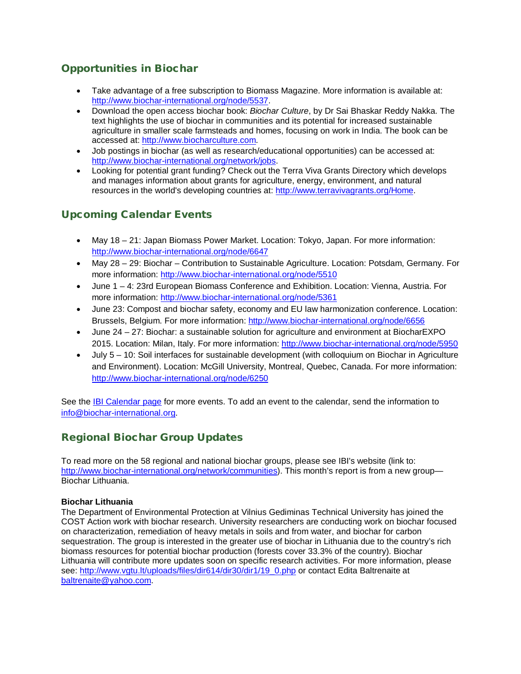## Opportunities in Biochar

- Take advantage of a free subscription to Biomass Magazine. More information is available at: [http://www.biochar-international.org/node/5537.](http://www.biochar-international.org/node/5537)
- Download the open access biochar book: *Biochar Culture*, by Dr Sai Bhaskar Reddy Nakka. The text highlights the use of biochar in communities and its potential for increased sustainable agriculture in smaller scale farmsteads and homes, focusing on work in India. The book can be accessed at: [http://www.biocharculture.com.](http://www.biocharculture.com/)
- Job postings in biochar (as well as research/educational opportunities) can be accessed at: [http://www.biochar-international.org/network/jobs.](http://ibi.memberclicks.net/message/urlRedir?id=61120&recip=2037fe9e-203a-4b7f-af3c-ac8774c71cbd)
- Looking for potential grant funding? Check out the Terra Viva Grants Directory which develops and manages information about grants for agriculture, energy, environment, and natural resources in the world's developing countries at: [http://www.terravivagrants.org/Home.](http://www.terravivagrants.org/Home)

## Upcoming Calendar Events

- May 18 21: Japan Biomass Power Market. Location: Tokyo, Japan. For more information: <http://www.biochar-international.org/node/6647>
- May 28 29: Biochar Contribution to Sustainable Agriculture. Location: Potsdam, Germany. For more information:<http://www.biochar-international.org/node/5510>
- June 1 4: 23rd European Biomass Conference and Exhibition. Location: Vienna, Austria. For more information:<http://www.biochar-international.org/node/5361>
- June 23: Compost and biochar safety, economy and EU law harmonization conference. Location: Brussels, Belgium. For more information:<http://www.biochar-international.org/node/6656>
- June 24 27: Biochar: a sustainable solution for agriculture and environment at BiocharEXPO 2015. Location: Milan, Italy. For more information:<http://www.biochar-international.org/node/5950>
- July 5 10: Soil interfaces for sustainable development (with colloquium on Biochar in Agriculture and Environment). Location: McGill University, Montreal, Quebec, Canada. For more information: <http://www.biochar-international.org/node/6250>

See the **IBI Calendar page for more events.** To add an event to the calendar, send the information to [info@biochar-international.org.](http://ibi.memberclicks.net/message/urlRedir?id=61132&recip=2037fe9e-203a-4b7f-af3c-ac8774c71cbd)

### Regional Biochar Group Updates

To read more on the 58 regional and national biochar groups, please see IBI's website (link to: [http://www.biochar-international.org/network/communities\)](http://www.biochar-international.org/network/communities). This month's report is from a new group— Biochar Lithuania.

#### **Biochar Lithuania**

The Department of Environmental Protection at Vilnius Gediminas Technical University has joined the COST Action work with biochar research. University researchers are conducting work on biochar focused on characterization, remediation of heavy metals in soils and from water, and biochar for carbon sequestration. The group is interested in the greater use of biochar in Lithuania due to the country's rich biomass resources for potential biochar production (forests cover 33.3% of the country). Biochar Lithuania will contribute more updates soon on specific research activities. For more information, please see: [http://www.vgtu.lt/uploads/files/dir614/dir30/dir1/19\\_0.php](http://www.vgtu.lt/uploads/files/dir614/dir30/dir1/19_0.php) or contact Edita Baltrenaite at [baltrenaite@yahoo.com.](mailto:baltrenaite@yahoo.com)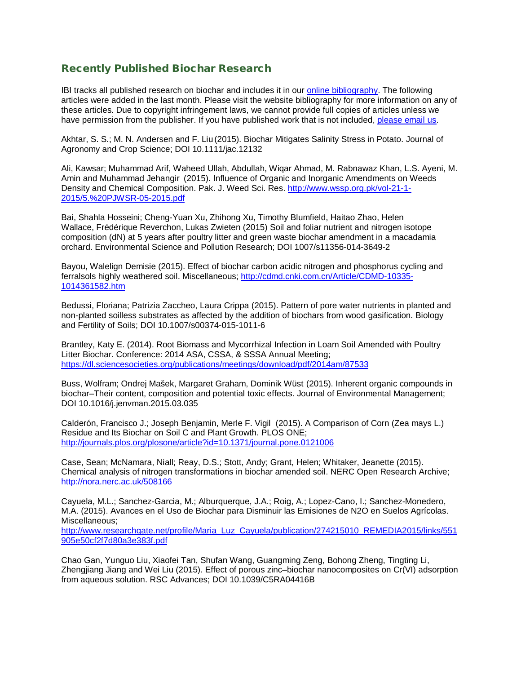#### Recently Published Biochar Research

IBI tracks all published research on biochar and includes it in our [online bibliography.](http://ibi.memberclicks.net/message/urlRedir?id=24751&recip=be7c7021-8bab-4aa7-a274-1c95dcc834ca) The following articles were added in the last month. Please visit the website bibliography for more information on any of these articles. Due to copyright infringement laws, we cannot provide full copies of articles unless we have permission from the publisher. If you have published work that is not included, [please email us.](http://ibi.memberclicks.net/message/urlRedir?id=24748&recip=be7c7021-8bab-4aa7-a274-1c95dcc834ca)

Akhtar, S. S.; M. N. Andersen and F. Liu (2015). Biochar Mitigates Salinity Stress in Potato. Journal of Agronomy and Crop Science; DOI 10.1111/jac.12132

Ali, Kawsar; Muhammad Arif, Waheed Ullah, Abdullah, Wiqar Ahmad, M. Rabnawaz Khan, L.S. Ayeni, M. Amin and Muhammad Jehangir (2015). Influence of Organic and Inorganic Amendments on Weeds Density and Chemical Composition. Pak. J. Weed Sci. Res. [http://www.wssp.org.pk/vol-21-1-](http://www.wssp.org.pk/vol-21-1-2015/5.%20PJWSR-05-2015.pdf) [2015/5.%20PJWSR-05-2015.pdf](http://www.wssp.org.pk/vol-21-1-2015/5.%20PJWSR-05-2015.pdf)

Bai, Shahla Hosseini; Cheng-Yuan Xu, Zhihong Xu, Timothy Blumfield, Haitao Zhao, Helen Wallace, Frédérique Reverchon, Lukas Zwieten (2015) Soil and foliar nutrient and nitrogen isotope composition (dN) at 5 years after poultry litter and green waste biochar amendment in a macadamia orchard. Environmental Science and Pollution Research; DOI 1007/s11356-014-3649-2

Bayou, Walelign Demisie (2015). Effect of biochar carbon acidic nitrogen and phosphorus cycling and ferralsols highly weathered soil. Miscellaneous; [http://cdmd.cnki.com.cn/Article/CDMD-10335-](http://cdmd.cnki.com.cn/Article/CDMD-10335-1014361582.htm) [1014361582.htm](http://cdmd.cnki.com.cn/Article/CDMD-10335-1014361582.htm)

Bedussi, Floriana; Patrizia Zaccheo, Laura Crippa (2015). Pattern of pore water nutrients in planted and non-planted soilless substrates as affected by the addition of biochars from wood gasification. Biology and Fertility of Soils; DOI 10.1007/s00374-015-1011-6

Brantley, Katy E. (2014). Root Biomass and Mycorrhizal Infection in Loam Soil Amended with Poultry Litter Biochar. Conference: 2014 ASA, CSSA, & SSSA Annual Meeting; <https://dl.sciencesocieties.org/publications/meetings/download/pdf/2014am/87533>

Buss, Wolfram; Ondrej Mašek, Margaret Graham, Dominik Wüst (2015). Inherent organic compounds in biochar–Their content, composition and potential toxic effects. Journal of Environmental Management; DOI 10.1016/j.jenvman.2015.03.035

Calderón, Francisco J.; Joseph Benjamin, Merle F. Vigil (2015). A Comparison of Corn (Zea mays L.) Residue and Its Biochar on Soil C and Plant Growth. PLOS ONE; <http://journals.plos.org/plosone/article?id=10.1371/journal.pone.0121006>

Case, Sean; McNamara, Niall; Reay, D.S.; Stott, Andy; Grant, Helen; Whitaker, Jeanette (2015). Chemical analysis of nitrogen transformations in biochar amended soil. NERC Open Research Archive; <http://nora.nerc.ac.uk/508166>

Cayuela, M.L.; Sanchez-Garcia, M.; Alburquerque, J.A.; Roig, A.; Lopez-Cano, I.; Sanchez-Monedero, M.A. (2015). Avances en el Uso de Biochar para Disminuir las Emisiones de N2O en Suelos Agrícolas. Miscellaneous;

[http://www.researchgate.net/profile/Maria\\_Luz\\_Cayuela/publication/274215010\\_REMEDIA2015/links/551](http://www.researchgate.net/profile/Maria_Luz_Cayuela/publication/274215010_REMEDIA2015/links/551905e50cf2f7d80a3e383f.pdf) [905e50cf2f7d80a3e383f.pdf](http://www.researchgate.net/profile/Maria_Luz_Cayuela/publication/274215010_REMEDIA2015/links/551905e50cf2f7d80a3e383f.pdf)

Chao Gan, Yunguo Liu, Xiaofei Tan, Shufan Wang, Guangming Zeng, Bohong Zheng, Tingting Li, Zhengjiang Jiang and Wei Liu (2015). Effect of porous zinc–biochar nanocomposites on Cr(VI) adsorption from aqueous solution. RSC Advances; DOI 10.1039/C5RA04416B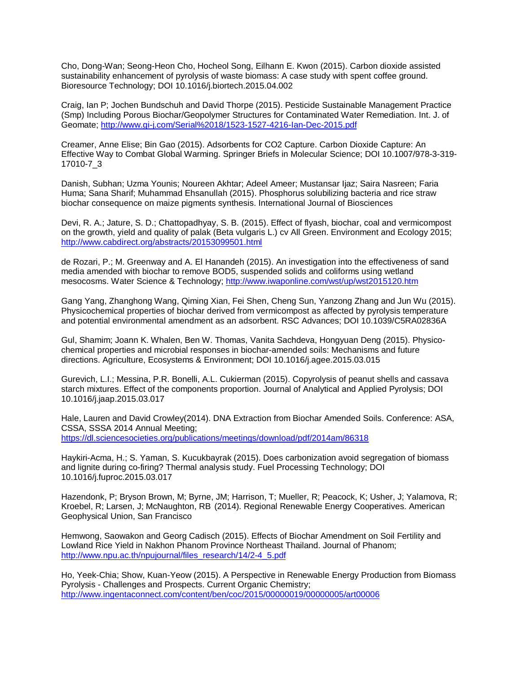Cho, Dong-Wan; Seong-Heon Cho, Hocheol Song, Eilhann E. Kwon (2015). Carbon dioxide assisted sustainability enhancement of pyrolysis of waste biomass: A case study with spent coffee ground. Bioresource Technology; DOI 10.1016/j.biortech.2015.04.002

Craig, Ian P; Jochen Bundschuh and David Thorpe (2015). Pesticide Sustainable Management Practice (Smp) Including Porous Biochar/Geopolymer Structures for Contaminated Water Remediation. Int. J. of Geomate;<http://www.gi-j.com/Serial%2018/1523-1527-4216-Ian-Dec-2015.pdf>

Creamer, Anne Elise; Bin Gao (2015). Adsorbents for CO2 Capture. Carbon Dioxide Capture: An Effective Way to Combat Global Warming. Springer Briefs in Molecular Science; DOI 10.1007/978-3-319- 17010-7\_3

Danish, Subhan; Uzma Younis; Noureen Akhtar; Adeel Ameer; Mustansar Ijaz; Saira Nasreen; Faria Huma; Sana Sharif; Muhammad Ehsanullah (2015). Phosphorus solubilizing bacteria and rice straw biochar consequence on maize pigments synthesis. International Journal of Biosciences

Devi, R. A.; Jature, S. D.; Chattopadhyay, S. B. (2015). Effect of flyash, biochar, coal and vermicompost on the growth, yield and quality of palak (Beta vulgaris L.) cv All Green. Environment and Ecology 2015; <http://www.cabdirect.org/abstracts/20153099501.html>

de Rozari, P.; M. Greenway and A. El Hanandeh (2015). An investigation into the effectiveness of sand media amended with biochar to remove BOD5, suspended solids and coliforms using wetland mesocosms. Water Science & Technology;<http://www.iwaponline.com/wst/up/wst2015120.htm>

Gang Yang, Zhanghong Wang, Qiming Xian, Fei Shen, Cheng Sun, Yanzong Zhang and Jun Wu (2015). Physicochemical properties of biochar derived from vermicompost as affected by pyrolysis temperature and potential environmental amendment as an adsorbent. RSC Advances; DOI 10.1039/C5RA02836A

Gul, Shamim; Joann K. Whalen, Ben W. Thomas, Vanita Sachdeva, Hongyuan Deng (2015). Physicochemical properties and microbial responses in biochar-amended soils: Mechanisms and future directions. Agriculture, Ecosystems & Environment; DOI 10.1016/j.agee.2015.03.015

Gurevich, L.I.; Messina, P.R. Bonelli, A.L. Cukierman (2015). Copyrolysis of peanut shells and cassava starch mixtures. Effect of the components proportion. Journal of Analytical and Applied Pyrolysis; DOI 10.1016/j.jaap.2015.03.017

Hale, Lauren and David Crowley(2014). DNA Extraction from Biochar Amended Soils. Conference: ASA, CSSA, SSSA 2014 Annual Meeting; <https://dl.sciencesocieties.org/publications/meetings/download/pdf/2014am/86318>

Haykiri-Acma, H.; S. Yaman, S. Kucukbayrak (2015). Does carbonization avoid segregation of biomass and lignite during co-firing? Thermal analysis study. Fuel Processing Technology; DOI 10.1016/j.fuproc.2015.03.017

Hazendonk, P; Bryson Brown, M; Byrne, JM; Harrison, T; Mueller, R; Peacock, K; Usher, J; Yalamova, R; Kroebel, R; Larsen, J; McNaughton, RB (2014). Regional Renewable Energy Cooperatives. American Geophysical Union, San Francisco

Hemwong, Saowakon and Georg Cadisch (2015). Effects of Biochar Amendment on Soil Fertility and Lowland Rice Yield in Nakhon Phanom Province Northeast Thailand. Journal of Phanom; [http://www.npu.ac.th/npujournal/files\\_research/14/2-4\\_5.pdf](http://www.npu.ac.th/npujournal/files_research/14/2-4_5.pdf)

Ho, Yeek-Chia; Show, Kuan-Yeow (2015). A Perspective in Renewable Energy Production from Biomass Pyrolysis - Challenges and Prospects. Current Organic Chemistry; <http://www.ingentaconnect.com/content/ben/coc/2015/00000019/00000005/art00006>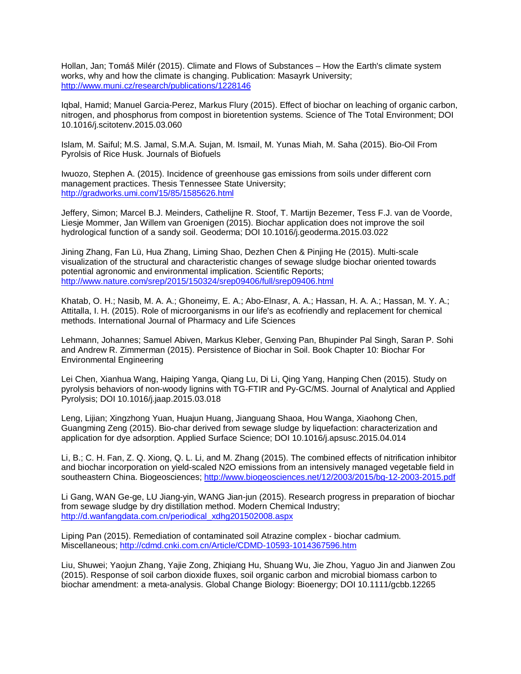Hollan, Jan; Tomáš Milér (2015). Climate and Flows of Substances – How the Earth's climate system works, why and how the climate is changing. Publication: Masayrk University; <http://www.muni.cz/research/publications/1228146>

Iqbal, Hamid; Manuel Garcia-Perez, Markus Flury (2015). Effect of biochar on leaching of organic carbon, nitrogen, and phosphorus from compost in bioretention systems. Science of The Total Environment; DOI 10.1016/j.scitotenv.2015.03.060

Islam, M. Saiful; M.S. Jamal, S.M.A. Sujan, M. Ismail, M. Yunas Miah, M. Saha (2015). Bio-Oil From Pyrolsis of Rice Husk. Journals of Biofuels

Iwuozo, Stephen A. (2015). Incidence of greenhouse gas emissions from soils under different corn management practices. Thesis Tennessee State University; <http://gradworks.umi.com/15/85/1585626.html>

Jeffery, Simon; Marcel B.J. Meinders, Cathelijne R. Stoof, T. Martijn Bezemer, Tess F.J. van de Voorde, Liesje Mommer, Jan Willem van Groenigen (2015). Biochar application does not improve the soil hydrological function of a sandy soil. Geoderma; DOI 10.1016/j.geoderma.2015.03.022

Jining Zhang, Fan Lü, Hua Zhang, Liming Shao, Dezhen Chen & Pinjing He (2015). Multi-scale visualization of the structural and characteristic changes of sewage sludge biochar oriented towards potential agronomic and environmental implication. Scientific Reports; <http://www.nature.com/srep/2015/150324/srep09406/full/srep09406.html>

Khatab, O. H.; Nasib, M. A. A.; Ghoneimy, E. A.; Abo-Elnasr, A. A.; Hassan, H. A. A.; Hassan, M. Y. A.; Attitalla, I. H. (2015). Role of microorganisms in our life's as ecofriendly and replacement for chemical methods. International Journal of Pharmacy and Life Sciences

Lehmann, Johannes; Samuel Abiven, Markus Kleber, Genxing Pan, Bhupinder Pal Singh, Saran P. Sohi and Andrew R. Zimmerman (2015). Persistence of Biochar in Soil. Book Chapter 10: Biochar For Environmental Engineering

Lei Chen, Xianhua Wang, Haiping Yanga, Qiang Lu, Di Li, Qing Yang, Hanping Chen (2015). Study on pyrolysis behaviors of non-woody lignins with TG-FTIR and Py-GC/MS. Journal of Analytical and Applied Pyrolysis; DOI 10.1016/j.jaap.2015.03.018

Leng, Lijian; Xingzhong Yuan, Huajun Huang, Jianguang Shaoa, Hou Wanga, Xiaohong Chen, Guangming Zeng (2015). Bio-char derived from sewage sludge by liquefaction: characterization and application for dye adsorption. Applied Surface Science; DOI 10.1016/j.apsusc.2015.04.014

Li, B.; C. H. Fan, Z. Q. Xiong, Q. L. Li, and M. Zhang (2015). The combined effects of nitrification inhibitor and biochar incorporation on yield-scaled N2O emissions from an intensively managed vegetable field in southeastern China. Biogeosciences;<http://www.biogeosciences.net/12/2003/2015/bg-12-2003-2015.pdf>

Li Gang, WAN Ge-ge, LU Jiang-yin, WANG Jian-jun (2015). Research progress in preparation of biochar from sewage sludge by dry distillation method. Modern Chemical Industry; [http://d.wanfangdata.com.cn/periodical\\_xdhg201502008.aspx](http://d.wanfangdata.com.cn/periodical_xdhg201502008.aspx)

Liping Pan (2015). Remediation of contaminated soil Atrazine complex - biochar cadmium. Miscellaneous;<http://cdmd.cnki.com.cn/Article/CDMD-10593-1014367596.htm>

Liu, Shuwei; Yaojun Zhang, Yajie Zong, Zhiqiang Hu, Shuang Wu, Jie Zhou, Yaguo Jin and Jianwen Zou (2015). Response of soil carbon dioxide fluxes, soil organic carbon and microbial biomass carbon to biochar amendment: a meta-analysis. Global Change Biology: Bioenergy; DOI 10.1111/gcbb.12265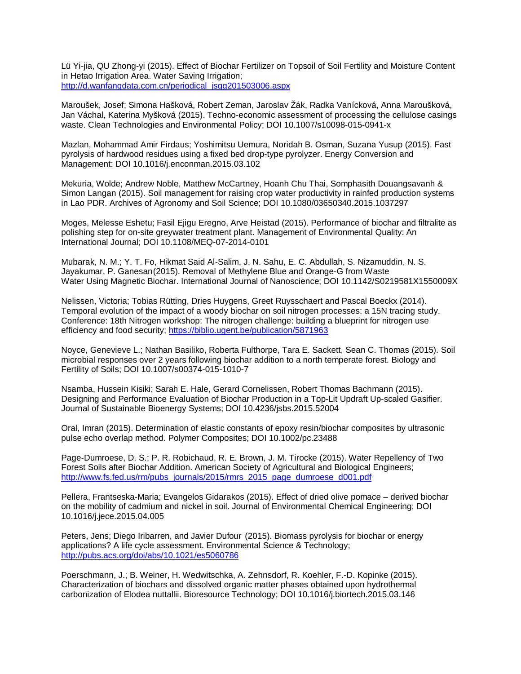Lü Yi-jia, QU Zhong-yi (2015). Effect of Biochar Fertilizer on Topsoil of Soil Fertility and Moisture Content in Hetao Irrigation Area. Water Saving Irrigation; [http://d.wanfangdata.com.cn/periodical\\_jsgg201503006.aspx](http://d.wanfangdata.com.cn/periodical_jsgg201503006.aspx)

Maroušek, Josef; Simona Hašková, Robert Zeman, Jaroslav Žák, Radka Vanícková, Anna Maroušková, Jan Váchal, Katerina Myšková (2015). Techno-economic assessment of processing the cellulose casings waste. Clean Technologies and Environmental Policy; DOI 10.1007/s10098-015-0941-x

Mazlan, Mohammad Amir Firdaus; Yoshimitsu Uemura, Noridah B. Osman, Suzana Yusup (2015). Fast pyrolysis of hardwood residues using a fixed bed drop-type pyrolyzer. Energy Conversion and Management: DOI 10.1016/j.enconman.2015.03.102

Mekuria, Wolde; Andrew Noble, Matthew McCartney, Hoanh Chu Thai, Somphasith Douangsavanh & Simon Langan (2015). Soil management for raising crop water productivity in rainfed production systems in Lao PDR. Archives of Agronomy and Soil Science; DOI 10.1080/03650340.2015.1037297

Moges, Melesse Eshetu; Fasil Ejigu Eregno, Arve Heistad (2015). Performance of biochar and filtralite as polishing step for on-site greywater treatment plant. Management of Environmental Quality: An International Journal; DOI 10.1108/MEQ-07-2014-0101

Mubarak, N. M.; Y. T. Fo, Hikmat Said Al-Salim, J. N. Sahu, E. C. Abdullah, S. Nizamuddin, N. S. Jayakumar, P. Ganesan(2015). Removal of Methylene Blue and Orange-G from Waste Water Using Magnetic Biochar. International Journal of Nanoscience; DOI 10.1142/S0219581X1550009X

Nelissen, Victoria; Tobias Rütting, Dries Huygens, Greet Ruysschaert and Pascal Boeckx (2014). Temporal evolution of the impact of a woody biochar on soil nitrogen processes: a 15N tracing study. Conference: 18th Nitrogen workshop: The nitrogen challenge: building a blueprint for nitrogen use efficiency and food security;<https://biblio.ugent.be/publication/5871963>

Noyce, Genevieve L.; Nathan Basiliko, Roberta Fulthorpe, Tara E. Sackett, Sean C. Thomas (2015). Soil microbial responses over 2 years following biochar addition to a north temperate forest. Biology and Fertility of Soils; DOI 10.1007/s00374-015-1010-7

Nsamba, Hussein Kisiki; Sarah E. Hale, Gerard Cornelissen, Robert Thomas Bachmann (2015). Designing and Performance Evaluation of Biochar Production in a Top-Lit Updraft Up-scaled Gasifier. Journal of Sustainable Bioenergy Systems; DOI 10.4236/jsbs.2015.52004

Oral, Imran (2015). Determination of elastic constants of epoxy resin/biochar composites by ultrasonic pulse echo overlap method. Polymer Composites; DOI 10.1002/pc.23488

Page-Dumroese, D. S.; P. R. Robichaud, R. E. Brown, J. M. Tirocke (2015). Water Repellency of Two Forest Soils after Biochar Addition. American Society of Agricultural and Biological Engineers; [http://www.fs.fed.us/rm/pubs\\_journals/2015/rmrs\\_2015\\_page\\_dumroese\\_d001.pdf](http://www.fs.fed.us/rm/pubs_journals/2015/rmrs_2015_page_dumroese_d001.pdf)

Pellera, Frantseska-Maria; Evangelos Gidarakos (2015). Effect of dried olive pomace – derived biochar on the mobility of cadmium and nickel in soil. Journal of Environmental Chemical Engineering; DOI 10.1016/j.jece.2015.04.005

Peters, Jens; Diego Iribarren, and Javier Dufour (2015). Biomass pyrolysis for biochar or energy applications? A life cycle assessment. Environmental Science & Technology; <http://pubs.acs.org/doi/abs/10.1021/es5060786>

Poerschmann, J.; B. Weiner, H. Wedwitschka, A. Zehnsdorf, R. Koehler, F.-D. Kopinke (2015). Characterization of biochars and dissolved organic matter phases obtained upon hydrothermal carbonization of Elodea nuttallii. Bioresource Technology; DOI 10.1016/j.biortech.2015.03.146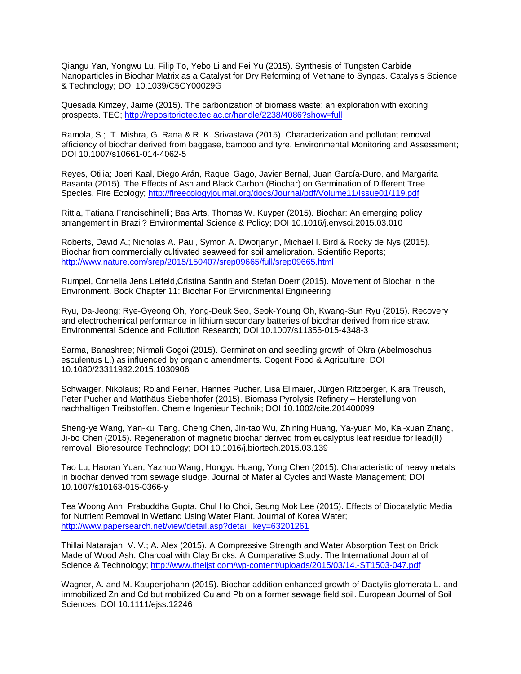Qiangu Yan, Yongwu Lu, Filip To, Yebo Li and Fei Yu (2015). Synthesis of Tungsten Carbide Nanoparticles in Biochar Matrix as a Catalyst for Dry Reforming of Methane to Syngas. Catalysis Science & Technology; DOI 10.1039/C5CY00029G

Quesada Kimzey, Jaime (2015). The carbonization of biomass waste: an exploration with exciting prospects. TEC;<http://repositoriotec.tec.ac.cr/handle/2238/4086?show=full>

Ramola, S.; T. Mishra, G. Rana & R. K. Srivastava (2015). Characterization and pollutant removal efficiency of biochar derived from baggase, bamboo and tyre. Environmental Monitoring and Assessment; DOI 10.1007/s10661-014-4062-5

Reyes, Otilia; Joeri Kaal, Diego Arán, Raquel Gago, Javier Bernal, Juan García-Duro, and Margarita Basanta (2015). The Effects of Ash and Black Carbon (Biochar) on Germination of Different Tree Species. Fire Ecology;<http://fireecologyjournal.org/docs/Journal/pdf/Volume11/Issue01/119.pdf>

Rittla, Tatiana Francischinelli; Bas Arts, Thomas W. Kuyper (2015). Biochar: An emerging policy arrangement in Brazil? Environmental Science & Policy; DOI 10.1016/j.envsci.2015.03.010

Roberts, David A.; Nicholas A. Paul, Symon A. Dworjanyn, Michael I. Bird & Rocky de Nys (2015). Biochar from commercially cultivated seaweed for soil amelioration. Scientific Reports; <http://www.nature.com/srep/2015/150407/srep09665/full/srep09665.html>

Rumpel, Cornelia Jens Leifeld,Cristina Santin and Stefan Doerr (2015). Movement of Biochar in the Environment. Book Chapter 11: Biochar For Environmental Engineering

Ryu, Da-Jeong; Rye-Gyeong Oh, Yong-Deuk Seo, Seok-Young Oh, Kwang-Sun Ryu (2015). Recovery and electrochemical performance in lithium secondary batteries of biochar derived from rice straw. Environmental Science and Pollution Research; DOI 10.1007/s11356-015-4348-3

Sarma, Banashree; Nirmali Gogoi (2015). Germination and seedling growth of Okra (Abelmoschus esculentus L.) as influenced by organic amendments. Cogent Food & Agriculture; DOI 10.1080/23311932.2015.1030906

Schwaiger, Nikolaus; Roland Feiner, Hannes Pucher, Lisa Ellmaier, Jürgen Ritzberger, Klara Treusch, Peter Pucher and Matthäus Siebenhofer (2015). Biomass Pyrolysis Refinery – Herstellung von nachhaltigen Treibstoffen. Chemie Ingenieur Technik; DOI 10.1002/cite.201400099

Sheng-ye Wang, Yan-kui Tang, Cheng Chen, Jin-tao Wu, Zhining Huang, Ya-yuan Mo, Kai-xuan Zhang, Ji-bo Chen (2015). Regeneration of magnetic biochar derived from eucalyptus leaf residue for lead(II) removal. Bioresource Technology; DOI 10.1016/j.biortech.2015.03.139

Tao Lu, Haoran Yuan, Yazhuo Wang, Hongyu Huang, Yong Chen (2015). Characteristic of heavy metals in biochar derived from sewage sludge. Journal of Material Cycles and Waste Management; DOI 10.1007/s10163-015-0366-y

Tea Woong Ann, Prabuddha Gupta, Chul Ho Choi, Seung Mok Lee (2015). Effects of Biocatalytic Media for Nutrient Removal in Wetland Using Water Plant. Journal of Korea Water; [http://www.papersearch.net/view/detail.asp?detail\\_key=63201261](http://www.papersearch.net/view/detail.asp?detail_key=63201261)

Thillai Natarajan, V. V.; A. Alex (2015). A Compressive Strength and Water Absorption Test on Brick Made of Wood Ash, Charcoal with Clay Bricks: A Comparative Study. The International Journal of Science & Technology;<http://www.theijst.com/wp-content/uploads/2015/03/14.-ST1503-047.pdf>

Wagner, A. and M. Kaupenjohann (2015). Biochar addition enhanced growth of Dactylis glomerata L. and immobilized Zn and Cd but mobilized Cu and Pb on a former sewage field soil. European Journal of Soil Sciences; DOI 10.1111/ejss.12246